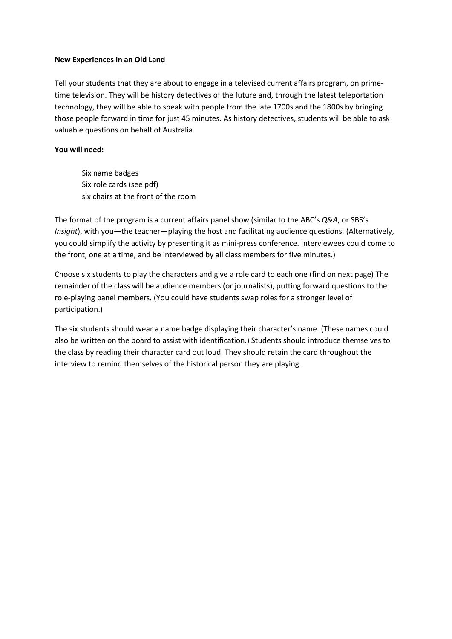## **New Experiences in an Old Land**

Tell your students that they are about to engage in a televised current affairs program, on primetime television. They will be history detectives of the future and, through the latest teleportation technology, they will be able to speak with people from the late 1700s and the 1800s by bringing those people forward in time for just 45 minutes. As history detectives, students will be able to ask valuable questions on behalf of Australia.

## **You will need:**

Six name badges Six role cards (see pdf) six chairs at the front of the room

The format of the program is a current affairs panel show (similar to the ABC's *Q&A*, or SBS's *Insight*), with you—the teacher—playing the host and facilitating audience questions. (Alternatively, you could simplify the activity by presenting it as mini-press conference. Interviewees could come to the front, one at a time, and be interviewed by all class members for five minutes.)

Choose six students to play the characters and give a role card to each one (find on next page) The remainder of the class will be audience members (or journalists), putting forward questions to the role-playing panel members. (You could have students swap roles for a stronger level of participation.)

The six students should wear a name badge displaying their character's name. (These names could also be written on the board to assist with identification.) Students should introduce themselves to the class by reading their character card out loud. They should retain the card throughout the interview to remind themselves of the historical person they are playing.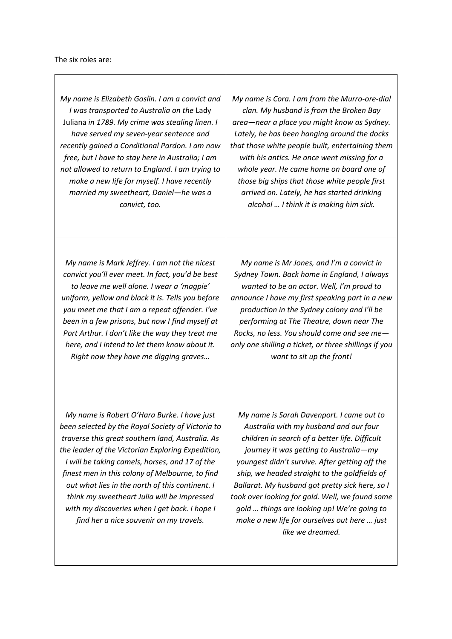*My name is Elizabeth Goslin. I am a convict and I was transported to Australia on the* Lady Juliana *in 1789. My crime was stealing linen. I have served my seven-year sentence and recently gained a Conditional Pardon. I am now free, but I have to stay here in Australia; I am not allowed to return to England. I am trying to make a new life for myself. I have recently married my sweetheart, Daniel—he was a convict, too.*

*My name is Cora. I am from the Murro-ore-dial clan. My husband is from the Broken Bay area—near a place you might know as Sydney. Lately, he has been hanging around the docks that those white people built, entertaining them with his antics. He once went missing for a whole year. He came home on board one of those big ships that those white people first arrived on. Lately, he has started drinking alcohol … I think it is making him sick.* 

*My name is Mark Jeffrey. I am not the nicest convict you'll ever meet. In fact, you'd be best to leave me well alone. I wear a 'magpie' uniform, yellow and black it is. Tells you before you meet me that I am a repeat offender. I've been in a few prisons, but now I find myself at Port Arthur. I don't like the way they treat me here, and I intend to let them know about it. Right now they have me digging graves…*

*My name is Mr Jones, and I'm a convict in Sydney Town. Back home in England, I always wanted to be an actor. Well, I'm proud to announce I have my first speaking part in a new production in the Sydney colony and I'll be performing at The Theatre, down near The Rocks, no less. You should come and see me only one shilling a ticket, or three shillings if you want to sit up the front!* 

*My name is Robert O'Hara Burke. I have just been selected by the Royal Society of Victoria to traverse this great southern land, Australia. As the leader of the Victorian Exploring Expedition, I will be taking camels, horses, and 17 of the finest men in this colony of Melbourne, to find out what lies in the north of this continent. I think my sweetheart Julia will be impressed with my discoveries when I get back. I hope I find her a nice souvenir on my travels.*

*My name is Sarah Davenport. I came out to Australia with my husband and our four children in search of a better life. Difficult journey it was getting to Australia—my youngest didn't survive. After getting off the ship, we headed straight to the goldfields of Ballarat. My husband got pretty sick here, so I took over looking for gold. Well, we found some gold … things are looking up! We're going to make a new life for ourselves out here … just like we dreamed.*